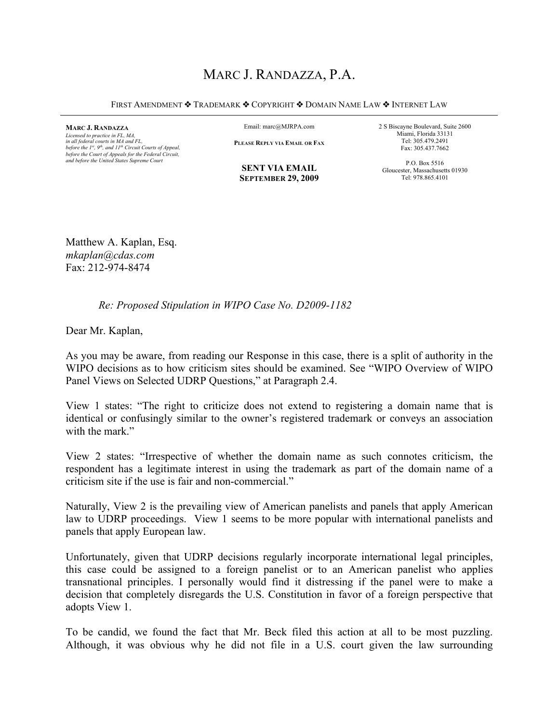# MARC J. RANDAZZA, P.A.

FIRST AMENDMENT  $\cdot$  Trademark  $\cdot$  Copyright  $\cdot$  Domain Name Law  $\cdot$  Internet Law

**MARC J. RANDAZZA**

*Licensed to practice in FL, MA, in all federal courts in MA and FL, before the 1st, 9th, and 11th Circuit Courts of Appeal, before the Court of Appeals for the Federal Circuit, and before the United States Supreme Court*

Email: marc@MJRPA.com

**PLEASE REPLY VIA EMAIL OR FAX**

**SENT VIA EMAIL SEPTEMBER 29, 2009** 2 S Biscayne Boulevard, Suite 2600 Miami, Florida 33131 Tel: 305.479.2491 Fax: 305.437.7662

P.O. Box 5516 Gloucester, Massachusetts 01930 Tel: 978.865.4101

Matthew A. Kaplan, Esq. *mkaplan@cdas.com* Fax: 212-974-8474

# *Re: Proposed Stipulation in WIPO Case No. D2009-1182*

Dear Mr. Kaplan,

As you may be aware, from reading our Response in this case, there is a split of authority in the WIPO decisions as to how criticism sites should be examined. See "WIPO Overview of WIPO Panel Views on Selected UDRP Questions," at Paragraph 2.4.

View 1 states: "The right to criticize does not extend to registering a domain name that is identical or confusingly similar to the owner's registered trademark or conveys an association with the mark"

View 2 states: "Irrespective of whether the domain name as such connotes criticism, the respondent has a legitimate interest in using the trademark as part of the domain name of a criticism site if the use is fair and non-commercial."

Naturally, View 2 is the prevailing view of American panelists and panels that apply American law to UDRP proceedings. View 1 seems to be more popular with international panelists and panels that apply European law.

Unfortunately, given that UDRP decisions regularly incorporate international legal principles, this case could be assigned to a foreign panelist or to an American panelist who applies transnational principles. I personally would find it distressing if the panel were to make a decision that completely disregards the U.S. Constitution in favor of a foreign perspective that adopts View 1.

To be candid, we found the fact that Mr. Beck filed this action at all to be most puzzling. Although, it was obvious why he did not file in a U.S. court given the law surrounding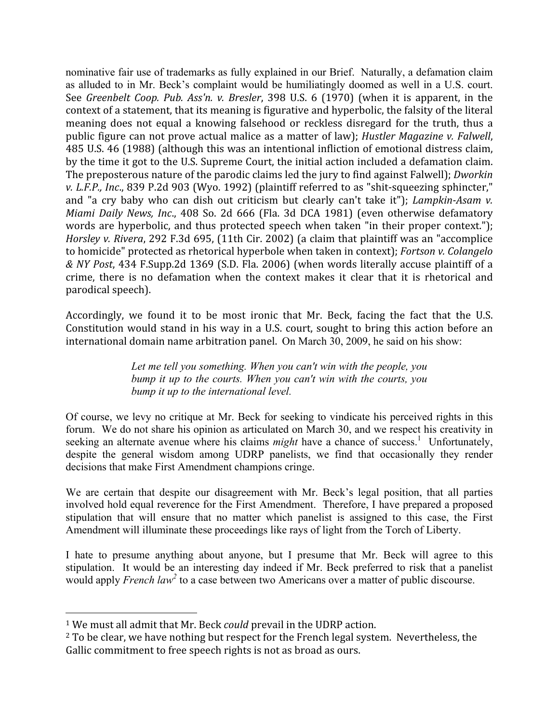nominative fair use of trademarks as fully explained in our Brief. Naturally, a defamation claim as alluded to in Mr. Beck's complaint would be humiliatingly doomed as well in a U.S. court. See Greenbelt Coop. Pub. Ass'n. v. Bresler, 398 U.S. 6 (1970) (when it is apparent, in the context of a statement, that its meaning is figurative and hyperbolic, the falsity of the literal meaning does not equal a knowing falsehood or reckless disregard for the truth, thus a public figure can not prove actual malice as a matter of law); Hustler Magazine v. Falwell, 485 U.S. 46 (1988) (although this was an intentional infliction of emotional distress claim, by the time it got to the U.S. Supreme Court, the initial action included a defamation claim. The preposterous nature of the parodic claims led the jury to find against Falwell); Dworkin v. L.F.P., Inc., 839 P.2d 903 (Wyo. 1992) (plaintiff referred to as "shit-squeezing sphincter," and "a cry baby who can dish out criticism but clearly can't take it"); Lampkin-Asam v. Miami Daily News, Inc., 408 So. 2d 666 (Fla. 3d DCA 1981) (even otherwise defamatory words are hyperbolic, and thus protected speech when taken "in their proper context."); Horsley v. Rivera, 292 F.3d 695, (11th Cir. 2002) (a claim that plaintiff was an "accomplice to homicide" protected as rhetorical hyperbole when taken in context); Fortson v. Colangelo & NY Post, 434 F.Supp.2d 1369 (S.D. Fla. 2006) (when words literally accuse plaintiff of a crime, there is no defamation when the context makes it clear that it is rhetorical and parodical speech).

Accordingly, we found it to be most ironic that Mr. Beck, facing the fact that the U.S. Constitution would stand in his way in a U.S. court, sought to bring this action before an international domain name arbitration panel. On March 30, 2009, he said on his show:

> Let me tell you something. When you can't win with the people, you bump it up to the courts. When you can't win with the courts, you bump it up to the international level.

Of course, we levy no critique at Mr. Beck for seeking to vindicate his perceived rights in this forum. We do not share his opinion as articulated on March 30, and we respect his creativity in seeking an alternate avenue where his claims *might* have a chance of success.<sup>1</sup> Unfortunately, despite the general wisdom among UDRP panelists, we find that occasionally they render decisions that make First Amendment champions cringe.

We are certain that despite our disagreement with Mr. Beck's legal position, that all parties involved hold equal reverence for the First Amendment. Therefore, I have prepared a proposed stipulation that will ensure that no matter which panelist is assigned to this case, the First Amendment will illuminate these proceedings like rays of light from the Torch of Liberty.

I hate to presume anything about anyone, but I presume that Mr. Beck will agree to this stipulation. It would be an interesting day indeed if Mr. Beck preferred to risk that a panelist would apply *French law*<sup>2</sup> to a case between two Americans over a matter of public discourse.

<sup>&</sup>lt;sup>1</sup> We must all admit that Mr. Beck *could* prevail in the UDRP action.

<sup>&</sup>lt;sup>2</sup> To be clear, we have nothing but respect for the French legal system. Nevertheless, the Gallic commitment to free speech rights is not as broad as ours.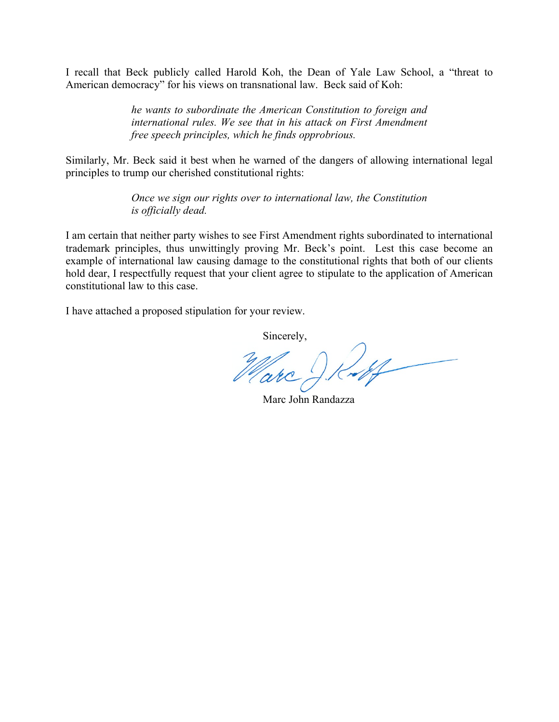I recall that Beck publicly called Harold Koh, the Dean of Yale Law School, a "threat to American democracy" for his views on transnational law. Beck said of Koh:

> *he wants to subordinate the American Constitution to foreign and international rules. We see that in his attack on First Amendment free speech principles, which he finds opprobrious.*

Similarly, Mr. Beck said it best when he warned of the dangers of allowing international legal principles to trump our cherished constitutional rights:

> *Once we sign our rights over to international law, the Constitution is officially dead.*

I am certain that neither party wishes to see First Amendment rights subordinated to international trademark principles, thus unwittingly proving Mr. Beck's point. Lest this case become an example of international law causing damage to the constitutional rights that both of our clients hold dear, I respectfully request that your client agree to stipulate to the application of American constitutional law to this case.

I have attached a proposed stipulation for your review.

Sincerely,

Ruff Marc J.

Marc John Randazza